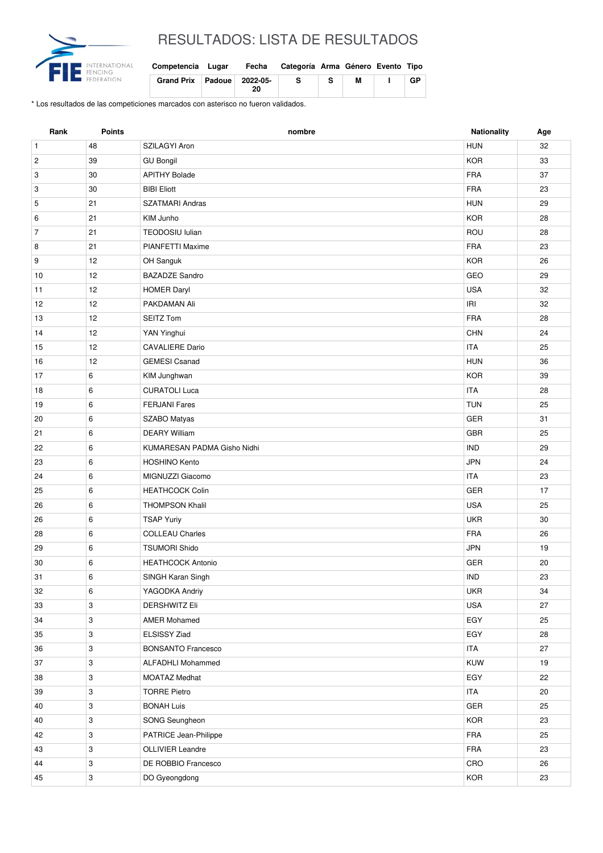

## RESULTADOS: LISTA DE RESULTADOS

| Competencia Lugar          | Fecha | Categoría Arma Género Evento Tipo |    |   |    |
|----------------------------|-------|-----------------------------------|----|---|----|
| Grand Prix Padoue 2022-05- | 20    |                                   | S. | М | GP |

\* Los resultados de las competiciones marcados con asterisco no fueron validados.

| Rank           | <b>Points</b>             | nombre                      | <b>Nationality</b> | Age |
|----------------|---------------------------|-----------------------------|--------------------|-----|
| $\mathbf{1}$   | 48                        | SZILAGYI Aron               | <b>HUN</b>         | 32  |
| $\overline{c}$ | 39                        | <b>GU Bongil</b>            | <b>KOR</b>         | 33  |
| 3              | 30                        | <b>APITHY Bolade</b>        | <b>FRA</b>         | 37  |
| 3              | 30                        | <b>BIBI Eliott</b>          | <b>FRA</b>         | 23  |
| 5              | 21                        | <b>SZATMARI Andras</b>      | <b>HUN</b>         | 29  |
| 6              | 21                        | KIM Junho                   | <b>KOR</b>         | 28  |
| $\overline{7}$ | 21                        | <b>TEODOSIU lulian</b>      | ROU                | 28  |
| 8              | 21                        | PIANFETTI Maxime            | <b>FRA</b>         | 23  |
| 9              | 12                        | OH Sanguk                   | <b>KOR</b>         | 26  |
| 10             | 12                        | <b>BAZADZE Sandro</b>       | GEO                | 29  |
| 11             | 12                        | <b>HOMER Daryl</b>          | <b>USA</b>         | 32  |
| 12             | 12                        | PAKDAMAN Ali                | IRI                | 32  |
| 13             | 12                        | <b>SEITZ Tom</b>            | <b>FRA</b>         | 28  |
| 14             | 12                        | YAN Yinghui                 | <b>CHN</b>         | 24  |
| 15             | 12                        | <b>CAVALIERE Dario</b>      | <b>ITA</b>         | 25  |
| 16             | 12                        | <b>GEMESI Csanad</b>        | <b>HUN</b>         | 36  |
| 17             | 6                         | KIM Junghwan                | <b>KOR</b>         | 39  |
| 18             | 6                         | <b>CURATOLI Luca</b>        | <b>ITA</b>         | 28  |
| 19             | 6                         | <b>FERJANI Fares</b>        | <b>TUN</b>         | 25  |
| 20             | 6                         | <b>SZABO Matyas</b>         | <b>GER</b>         | 31  |
| 21             | 6                         | <b>DEARY William</b>        | <b>GBR</b>         | 25  |
| 22             | 6                         | KUMARESAN PADMA Gisho Nidhi | <b>IND</b>         | 29  |
| 23             | 6                         | <b>HOSHINO Kento</b>        | <b>JPN</b>         | 24  |
| 24             | 6                         | MIGNUZZI Giacomo            | <b>ITA</b>         | 23  |
| 25             | 6                         | <b>HEATHCOCK Colin</b>      | <b>GER</b>         | 17  |
| 26             | 6                         | <b>THOMPSON Khalil</b>      | <b>USA</b>         | 25  |
| 26             | 6                         | <b>TSAP Yuriy</b>           | <b>UKR</b>         | 30  |
| 28             | 6                         | <b>COLLEAU Charles</b>      | <b>FRA</b>         | 26  |
| 29             | 6                         | <b>TSUMORI Shido</b>        | <b>JPN</b>         | 19  |
| 30             | 6                         | <b>HEATHCOCK Antonio</b>    | <b>GER</b>         | 20  |
| 31             | $\,6\,$                   | SINGH Karan Singh           | IND                | 23  |
| 32             | 6                         | YAGODKA Andriy              | UKR                | 34  |
| 33             | 3                         | <b>DERSHWITZ Eli</b>        | <b>USA</b>         | 27  |
| 34             | 3                         | <b>AMER Mohamed</b>         | EGY                | 25  |
| 35             | 3                         | ELSISSY Ziad                | EGY                | 28  |
| 36             | 3                         | <b>BONSANTO Francesco</b>   | <b>ITA</b>         | 27  |
| 37             | $\ensuremath{\mathsf{3}}$ | <b>ALFADHLI Mohammed</b>    | KUW                | 19  |
| 38             | 3                         | <b>MOATAZ Medhat</b>        | EGY                | 22  |
| 39             | 3                         | <b>TORRE Pietro</b>         | <b>ITA</b>         | 20  |
| 40             | 3                         | <b>BONAH Luis</b>           | GER                | 25  |
| 40             | 3                         | SONG Seungheon              | KOR                | 23  |
| 42             | 3                         | PATRICE Jean-Philippe       | FRA                | 25  |
| 43             | $\mathbf{3}$              | OLLIVIER Leandre            | FRA                | 23  |
| 44             | 3                         | DE ROBBIO Francesco         | CRO                | 26  |
| 45             | $\mathbf{3}$              | DO Gyeongdong               | KOR                | 23  |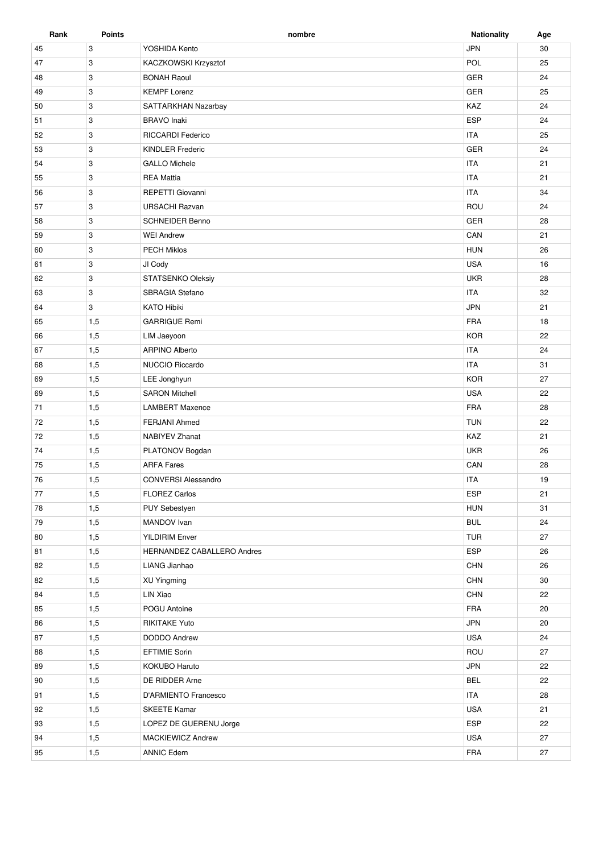| Rank     | <b>Points</b> | nombre                                 | <b>Nationality</b> | Age |
|----------|---------------|----------------------------------------|--------------------|-----|
| 45       | 3             | YOSHIDA Kento                          | <b>JPN</b>         | 30  |
| 47       | 3             | POL<br>KACZKOWSKI Krzysztof            |                    | 25  |
| 48       | 3             | <b>BONAH Raoul</b>                     | GER                | 24  |
| 49       | 3             | <b>KEMPF Lorenz</b>                    | <b>GER</b>         | 25  |
| 50       | 3             | SATTARKHAN Nazarbay                    | KAZ                | 24  |
| 51       | 3             | <b>BRAVO</b> Inaki                     | <b>ESP</b>         | 24  |
| 52       | 3             | <b>RICCARDI Federico</b>               | <b>ITA</b>         | 25  |
| 53       | 3             | <b>KINDLER Frederic</b>                | <b>GER</b>         | 24  |
| 54       | 3             | <b>GALLO Michele</b>                   | <b>ITA</b>         | 21  |
| 55       | 3             | <b>REA Mattia</b>                      | <b>ITA</b>         | 21  |
| 56       | 3             | REPETTI Giovanni                       | <b>ITA</b>         | 34  |
| 57       | 3             | <b>URSACHI Razvan</b>                  | ROU                | 24  |
| 58       | 3             | <b>SCHNEIDER Benno</b>                 | <b>GER</b>         | 28  |
| 59       | 3             | <b>WEI Andrew</b>                      | CAN                | 21  |
| 60       | 3             | <b>PECH Miklos</b>                     | <b>HUN</b>         | 26  |
| 61       | 3             | JI Cody                                | <b>USA</b>         | 16  |
| 62       | 3             | STATSENKO Oleksiy                      | <b>UKR</b>         | 28  |
| 63       | 3             | <b>SBRAGIA Stefano</b>                 | <b>ITA</b>         | 32  |
| 64       | 3             | <b>KATO Hibiki</b>                     | <b>JPN</b>         | 21  |
| 65       | 1,5           | <b>GARRIGUE Remi</b>                   | <b>FRA</b>         | 18  |
| 66       | 1,5           | LIM Jaeyoon                            | <b>KOR</b>         | 22  |
| 67       | 1,5           | <b>ARPINO Alberto</b>                  | <b>ITA</b>         | 24  |
| 68       | 1,5           | <b>NUCCIO Riccardo</b>                 | <b>ITA</b>         | 31  |
| 69       | 1,5           | LEE Jonghyun                           | <b>KOR</b>         | 27  |
| 69       | 1,5           | <b>SARON Mitchell</b>                  | <b>USA</b>         | 22  |
| 71       | 1,5           | <b>LAMBERT Maxence</b>                 | FRA                | 28  |
| 72       | 1,5           | <b>FERJANI Ahmed</b>                   | <b>TUN</b>         | 22  |
| 72       | 1,5           | <b>NABIYEV Zhanat</b>                  | KAZ                | 21  |
| 74       | 1,5           | PLATONOV Bogdan                        | <b>UKR</b>         | 26  |
| 75       | 1,5           | <b>ARFA Fares</b>                      | CAN                | 28  |
| 76       | 1,5           | <b>CONVERSI Alessandro</b>             | <b>ITA</b>         | 19  |
| 77       | 1,5           | <b>FLOREZ Carlos</b>                   | <b>ESP</b>         | 21  |
| 78       | 1,5           | PUY Sebestyen                          | <b>HUN</b>         | 31  |
| 79       | 1,5           | MANDOV Ivan                            | <b>BUL</b>         | 24  |
| 80       | 1,5           | <b>YILDIRIM Enver</b>                  | <b>TUR</b>         | 27  |
| 81       | 1,5           | HERNANDEZ CABALLERO Andres             | ESP                | 26  |
| 82       | 1,5           | LIANG Jianhao                          | <b>CHN</b>         | 26  |
| 82       | 1,5           | XU Yingming                            | <b>CHN</b>         | 30  |
| 84       | 1,5           | LIN Xiao                               | <b>CHN</b>         | 22  |
| 85       | 1,5           | POGU Antoine                           | FRA                | 20  |
| 86       | 1,5           | <b>RIKITAKE Yuto</b>                   | <b>JPN</b>         | 20  |
| 87       | 1,5           | DODDO Andrew                           | <b>USA</b>         | 24  |
| 88       | 1,5           | <b>EFTIMIE Sorin</b>                   | ROU                | 27  |
| 89       | 1,5           | KOKUBO Haruto                          | <b>JPN</b>         | 22  |
|          |               |                                        | <b>BEL</b>         | 22  |
| 90<br>91 | 1,5<br>1,5    | DE RIDDER Arne<br>D'ARMIENTO Francesco | <b>ITA</b>         | 28  |
|          |               | <b>SKEETE Kamar</b>                    | <b>USA</b>         | 21  |
| 92<br>93 | 1,5<br>1,5    | LOPEZ DE GUERENU Jorge                 | ESP                | 22  |
|          |               |                                        |                    |     |
| 94       | 1,5           | <b>MACKIEWICZ Andrew</b>               | <b>USA</b>         | 27  |
| 95       | 1,5           | <b>ANNIC Edern</b>                     | FRA                | 27  |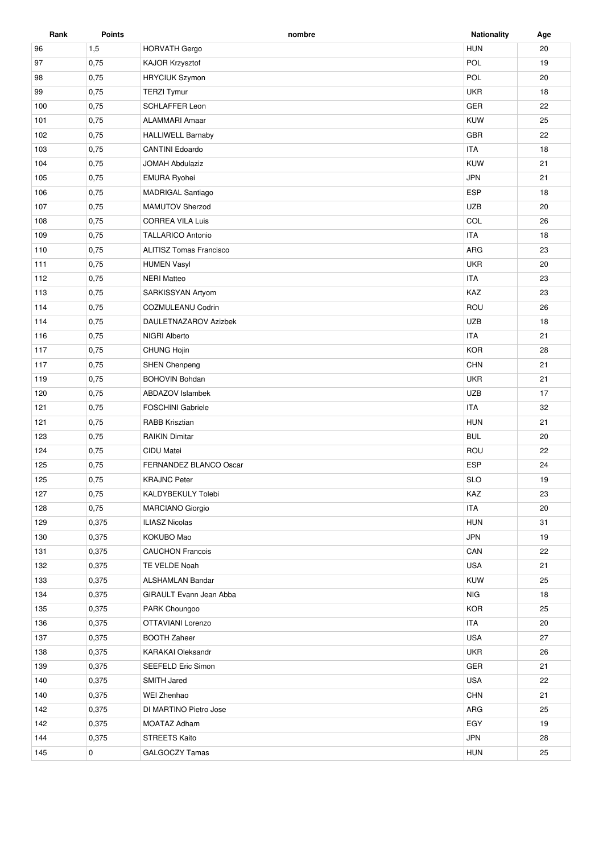| Rank | <b>Points</b> | nombre                                   | <b>Nationality</b> | Age |
|------|---------------|------------------------------------------|--------------------|-----|
| 96   | 1,5           | <b>HORVATH Gergo</b>                     | <b>HUN</b>         | 20  |
| 97   | 0,75          | KAJOR Krzysztof                          | POL                | 19  |
| 98   | 0,75          | <b>HRYCIUK Szymon</b>                    | POL                | 20  |
| 99   | 0,75          | <b>TERZI Tymur</b>                       | <b>UKR</b>         | 18  |
| 100  | 0,75          | <b>SCHLAFFER Leon</b>                    | GER                | 22  |
| 101  | 0,75          | <b>ALAMMARI Amaar</b>                    | <b>KUW</b>         | 25  |
| 102  | 0,75          | <b>HALLIWELL Barnaby</b>                 | GBR                | 22  |
| 103  | 0,75          | <b>CANTINI Edoardo</b>                   | <b>ITA</b>         | 18  |
| 104  | 0,75          | <b>JOMAH Abdulaziz</b>                   | <b>KUW</b>         | 21  |
| 105  | 0,75          | <b>EMURA Ryohei</b>                      | <b>JPN</b>         | 21  |
| 106  | 0,75          | MADRIGAL Santiago                        | <b>ESP</b>         | 18  |
| 107  | 0,75          | MAMUTOV Sherzod                          | <b>UZB</b>         | 20  |
| 108  | 0,75          | <b>CORREA VILA Luis</b>                  | COL                | 26  |
| 109  | 0,75          | <b>TALLARICO Antonio</b>                 | <b>ITA</b>         | 18  |
| 110  | 0,75          | <b>ALITISZ Tomas Francisco</b>           | ARG                | 23  |
|      |               |                                          |                    |     |
| 111  | 0,75          | <b>HUMEN Vasyl</b><br><b>NERI Matteo</b> | <b>UKR</b>         | 20  |
| 112  | 0,75          |                                          | <b>ITA</b>         | 23  |
| 113  | 0,75          | SARKISSYAN Artyom                        | KAZ                | 23  |
| 114  | 0,75          | COZMULEANU Codrin                        | ROU                | 26  |
| 114  | 0,75          | DAULETNAZAROV Azizbek                    | <b>UZB</b>         | 18  |
| 116  | 0,75          | NIGRI Alberto                            | <b>ITA</b>         | 21  |
| 117  | 0,75          | CHUNG Hojin                              | <b>KOR</b>         | 28  |
| 117  | 0,75          | <b>SHEN Chenpeng</b>                     | <b>CHN</b>         | 21  |
| 119  | 0,75          | <b>BOHOVIN Bohdan</b>                    | <b>UKR</b>         | 21  |
| 120  | 0,75          | ABDAZOV Islambek                         | <b>UZB</b>         | 17  |
| 121  | 0,75          | <b>FOSCHINI Gabriele</b>                 | <b>ITA</b>         | 32  |
| 121  | 0,75          | <b>RABB Krisztian</b>                    | <b>HUN</b>         | 21  |
| 123  | 0,75          | <b>RAIKIN Dimitar</b>                    | <b>BUL</b>         | 20  |
| 124  | 0,75          | CIDU Matei                               | ROU                | 22  |
| 125  | 0,75          | FERNANDEZ BLANCO Oscar                   | <b>ESP</b>         | 24  |
| 125  | 0,75          | <b>KRAJNC Peter</b>                      | <b>SLO</b>         | 19  |
| 127  | 0,75          | KALDYBEKULY Tolebi                       | KAZ                | 23  |
| 128  | 0,75          | <b>MARCIANO Giorgio</b>                  | <b>ITA</b>         | 20  |
| 129  | 0,375         | <b>ILIASZ Nicolas</b>                    | <b>HUN</b>         | 31  |
| 130  | 0,375         | KOKUBO Mao                               | <b>JPN</b>         | 19  |
| 131  | 0,375         | <b>CAUCHON Francois</b>                  | CAN                | 22  |
| 132  | 0,375         | TE VELDE Noah                            | <b>USA</b>         | 21  |
| 133  | 0,375         | <b>ALSHAMLAN Bandar</b>                  | KUW                | 25  |
| 134  | 0,375         | <b>GIRAULT Evann Jean Abba</b>           | <b>NIG</b>         | 18  |
| 135  | 0,375         | PARK Choungoo                            | <b>KOR</b>         | 25  |
| 136  | 0,375         | OTTAVIANI Lorenzo                        | <b>ITA</b>         | 20  |
| 137  | 0,375         | <b>BOOTH Zaheer</b>                      | <b>USA</b>         | 27  |
| 138  | 0,375         | <b>KARAKAI Oleksandr</b>                 | <b>UKR</b>         | 26  |
| 139  | 0,375         | SEEFELD Eric Simon                       | GER                | 21  |
| 140  | 0,375         | SMITH Jared                              | <b>USA</b>         | 22  |
| 140  | 0,375         | WEI Zhenhao                              | CHN                | 21  |
| 142  | 0,375         | DI MARTINO Pietro Jose                   | ARG                | 25  |
| 142  | 0,375         | <b>MOATAZ Adham</b>                      | EGY                | 19  |
| 144  | 0,375         | STREETS Kaito                            | <b>JPN</b>         | 28  |
| 145  | 0             | GALGOCZY Tamas                           | <b>HUN</b>         | 25  |
|      |               |                                          |                    |     |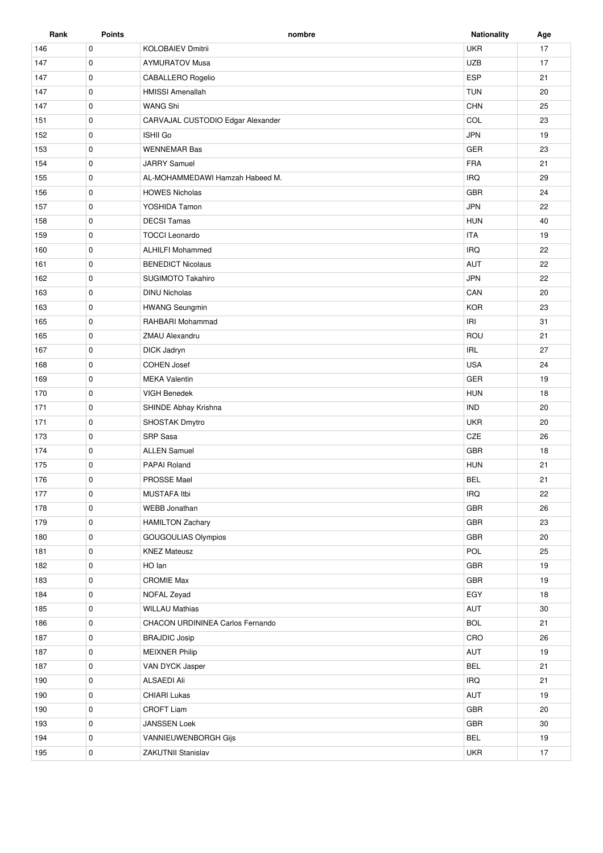| Rank | <b>Points</b> | nombre                                 | <b>Nationality</b> | Age |
|------|---------------|----------------------------------------|--------------------|-----|
| 146  | $\mathbf 0$   | <b>KOLOBAIEV Dmitrii</b>               | <b>UKR</b>         | 17  |
| 147  | $\mathbf 0$   | <b>AYMURATOV Musa</b>                  | <b>UZB</b>         | 17  |
| 147  | $\mathbf 0$   | <b>ESP</b><br><b>CABALLERO Rogelio</b> |                    | 21  |
| 147  | 0             | <b>TUN</b><br><b>HMISSI Amenallah</b>  |                    | 20  |
| 147  | $\mathbf 0$   | WANG Shi                               | CHN                | 25  |
| 151  | $\mathbf 0$   | CARVAJAL CUSTODIO Edgar Alexander      | COL                | 23  |
| 152  | 0             | <b>ISHII Go</b>                        | <b>JPN</b>         | 19  |
| 153  | $\mathbf 0$   | <b>WENNEMAR Bas</b>                    | GER                | 23  |
| 154  | $\mathbf 0$   | <b>JARRY Samuel</b>                    | <b>FRA</b>         | 21  |
| 155  | $\mathbf 0$   | AL-MOHAMMEDAWI Hamzah Habeed M.        | <b>IRQ</b>         | 29  |
| 156  | $\mathbf 0$   | <b>HOWES Nicholas</b>                  | GBR                | 24  |
| 157  | $\mathbf 0$   | YOSHIDA Tamon                          | <b>JPN</b>         | 22  |
| 158  | $\mathbf 0$   | <b>DECSI Tamas</b>                     | <b>HUN</b>         | 40  |
| 159  | $\mathbf 0$   | <b>TOCCI Leonardo</b>                  | <b>ITA</b>         | 19  |
| 160  | $\mathbf 0$   | <b>ALHILFI Mohammed</b>                | <b>IRQ</b>         | 22  |
| 161  | $\mathbf 0$   | <b>BENEDICT Nicolaus</b>               | AUT                | 22  |
| 162  | $\mathbf 0$   | SUGIMOTO Takahiro                      | <b>JPN</b>         | 22  |
|      |               |                                        |                    |     |
| 163  | $\pmb{0}$     | <b>DINU Nicholas</b>                   | CAN                | 20  |
| 163  | $\mathbf 0$   | <b>HWANG Seungmin</b>                  | <b>KOR</b>         | 23  |
| 165  | $\mathbf 0$   | RAHBARI Mohammad                       | IRI                | 31  |
| 165  | $\mathbf 0$   | ZMAU Alexandru                         | ROU                | 21  |
| 167  | $\mathbf 0$   | <b>DICK Jadryn</b>                     | <b>IRL</b>         | 27  |
| 168  | $\mathbf 0$   | <b>COHEN Josef</b>                     | <b>USA</b>         | 24  |
| 169  | $\mathbf 0$   | <b>MEKA Valentin</b>                   | GER                | 19  |
| 170  | $\mathbf 0$   | VIGH Benedek                           | <b>HUN</b>         | 18  |
| 171  | 0             | SHINDE Abhay Krishna                   | <b>IND</b>         | 20  |
| 171  | $\mathbf 0$   | SHOSTAK Dmytro                         | <b>UKR</b>         | 20  |
| 173  | $\mathbf 0$   | SRP Sasa                               | CZE                | 26  |
| 174  | 0             | <b>ALLEN Samuel</b>                    | <b>GBR</b>         | 18  |
| 175  | $\mathbf 0$   | PAPAI Roland                           | <b>HUN</b>         | 21  |
| 176  | 0             | <b>PROSSE Mael</b>                     | <b>BEL</b>         | 21  |
| 177  | 0             | MUSTAFA Itbi                           | <b>IRQ</b>         | 22  |
| 178  | 0             | <b>WEBB Jonathan</b>                   | GBR                | 26  |
| 179  | $\mathbf 0$   | <b>HAMILTON Zachary</b>                | GBR                | 23  |
| 180  | $\mathbf 0$   | GOUGOULIAS Olympios                    | GBR                | 20  |
| 181  | $\mathbf 0$   | <b>KNEZ Mateusz</b>                    | POL                | 25  |
| 182  | 0             | HO lan                                 | GBR                | 19  |
| 183  | $\mathbf 0$   | <b>CROMIE Max</b>                      | GBR                | 19  |
| 184  | $\mathbf 0$   | NOFAL Zeyad                            | EGY                | 18  |
| 185  | $\mathbf 0$   | <b>WILLAU Mathias</b>                  | AUT                | 30  |
| 186  | $\mathbf 0$   | CHACON URDININEA Carlos Fernando       | <b>BOL</b>         | 21  |
| 187  | $\mathbf 0$   | <b>BRAJDIC Josip</b>                   | CRO                | 26  |
| 187  | $\mathbf 0$   | <b>MEIXNER Philip</b>                  | AUT                | 19  |
| 187  | 0             | VAN DYCK Jasper                        | <b>BEL</b>         | 21  |
| 190  | $\mathbf 0$   | <b>ALSAEDI Ali</b>                     | <b>IRQ</b>         | 21  |
| 190  | $\mathbf 0$   | <b>CHIARI Lukas</b>                    | AUT                | 19  |
| 190  | $\mathbf 0$   | <b>CROFT Liam</b>                      | GBR                | 20  |
| 193  | 0             | JANSSEN Loek                           | GBR                | 30  |
| 194  | $\mathbf 0$   | VANNIEUWENBORGH Gijs                   | <b>BEL</b>         | 19  |
| 195  | 0             | ZAKUTNII Stanislav                     | <b>UKR</b>         | 17  |
|      |               |                                        |                    |     |